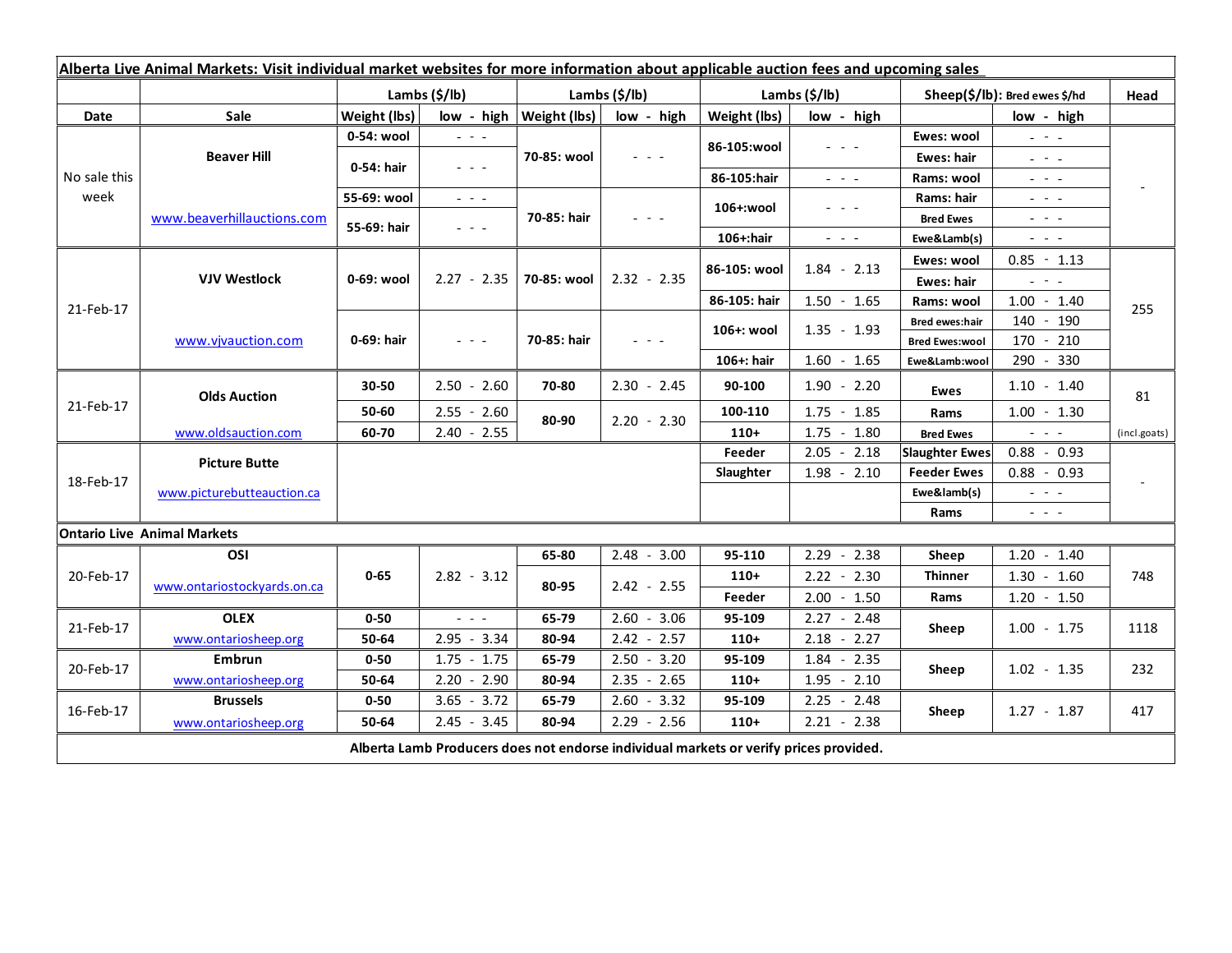| Alberta Live Animal Markets: Visit individual market websites for more information about applicable auction fees and upcoming sales |                             |               |                                                                                                                           |                              |               |               |                                                                                                                           |                               |                                                                                                                           |              |
|-------------------------------------------------------------------------------------------------------------------------------------|-----------------------------|---------------|---------------------------------------------------------------------------------------------------------------------------|------------------------------|---------------|---------------|---------------------------------------------------------------------------------------------------------------------------|-------------------------------|---------------------------------------------------------------------------------------------------------------------------|--------------|
|                                                                                                                                     |                             | Lambs (\$/lb) |                                                                                                                           | Lambs (\$/lb)                |               | Lambs (\$/lb) |                                                                                                                           | Sheep(\$/lb): Bred ewes \$/hd |                                                                                                                           | Head         |
| Date                                                                                                                                | Sale                        | Weight (lbs)  |                                                                                                                           | $low - high   Weight (lbs) $ | low - high    | Weight (lbs)  | low - high                                                                                                                |                               | low - high                                                                                                                |              |
| No sale this<br>week                                                                                                                | <b>Beaver Hill</b>          | 0-54: wool    | $\omega_{\rm{eff}}$ and $\omega_{\rm{eff}}$                                                                               | 70-85: wool                  | $  -$         | 86-105:wool   | $\frac{1}{2} \left( \frac{1}{2} \right) \left( \frac{1}{2} \right) \left( \frac{1}{2} \right) \left( \frac{1}{2} \right)$ | Ewes: wool                    | $\omega_{\rm{eff}}=0.1$                                                                                                   |              |
|                                                                                                                                     |                             | 0-54: hair    | $\frac{1}{2} \left( \frac{1}{2} \right) \left( \frac{1}{2} \right) \left( \frac{1}{2} \right) \left( \frac{1}{2} \right)$ |                              |               |               |                                                                                                                           | Ewes: hair                    | $\mathbf{L} = \mathbf{L} \mathbf{L}$                                                                                      |              |
|                                                                                                                                     |                             |               |                                                                                                                           |                              |               | 86-105:hair   | $\frac{1}{2} \left( \frac{1}{2} \right) \left( \frac{1}{2} \right) \left( \frac{1}{2} \right) \left( \frac{1}{2} \right)$ | Rams: wool                    | $  -$                                                                                                                     |              |
|                                                                                                                                     | www.beaverhillauctions.com  | 55-69: wool   | $\omega_{\rm{eff}}$ and $\omega_{\rm{eff}}$                                                                               | 70-85: hair                  | $  -$         | 106+:wool     | - - -                                                                                                                     | Rams: hair                    | $  -$                                                                                                                     |              |
|                                                                                                                                     |                             | 55-69: hair   | $\frac{1}{2} \left( \frac{1}{2} \right) = \frac{1}{2} \left( \frac{1}{2} \right)$                                         |                              |               |               |                                                                                                                           | <b>Bred Ewes</b>              | $  -$                                                                                                                     |              |
|                                                                                                                                     |                             |               |                                                                                                                           |                              |               | $106+$ :hair  | $\frac{1}{2} \left( \frac{1}{2} \right) \left( \frac{1}{2} \right) \left( \frac{1}{2} \right) \left( \frac{1}{2} \right)$ | Ewe&Lamb(s)                   | $\sim$ 10 $\sim$                                                                                                          |              |
| 21-Feb-17                                                                                                                           | <b>VJV Westlock</b>         | 0-69: wool    | $2.27 - 2.35$                                                                                                             | 70-85: wool                  | $2.32 - 2.35$ | 86-105: wool  | $1.84 - 2.13$                                                                                                             | Ewes: wool                    | $0.85 - 1.13$                                                                                                             | 255          |
|                                                                                                                                     |                             |               |                                                                                                                           |                              |               |               |                                                                                                                           | Ewes: hair                    | $\omega_{\rm{eff}}=0.1$                                                                                                   |              |
|                                                                                                                                     |                             |               |                                                                                                                           |                              |               | 86-105: hair  | $1.50 - 1.65$                                                                                                             | Rams: wool                    | $1.00 - 1.40$                                                                                                             |              |
|                                                                                                                                     | www.vjvauction.com          | 0-69: hair    | $\frac{1}{2} \left( \frac{1}{2} \right) = \frac{1}{2} \left( \frac{1}{2} \right)$                                         | 70-85: hair                  | $  -$         | 106+: wool    | $1.35 - 1.93$                                                                                                             | <b>Bred ewes:hair</b>         | 140<br>$-190$                                                                                                             |              |
|                                                                                                                                     |                             |               |                                                                                                                           |                              |               |               |                                                                                                                           | <b>Bred Ewes:wool</b>         | 170<br>$-210$                                                                                                             |              |
|                                                                                                                                     |                             |               |                                                                                                                           |                              |               | 106+: hair    | $1.60 - 1.65$                                                                                                             | Ewe&Lamb:wool                 | 290 - 330                                                                                                                 |              |
| 21-Feb-17                                                                                                                           | <b>Olds Auction</b>         | 30-50         | $2.50 - 2.60$                                                                                                             | 70-80                        | $2.30 - 2.45$ | 90-100        | $1.90 - 2.20$                                                                                                             | Ewes                          | $1.10 - 1.40$                                                                                                             | 81           |
|                                                                                                                                     |                             | 50-60         | $2.55 - 2.60$                                                                                                             | 80-90                        | $2.20 - 2.30$ | 100-110       | $1.75 - 1.85$                                                                                                             | Rams                          | $1.00 - 1.30$                                                                                                             |              |
|                                                                                                                                     | www.oldsauction.com         | 60-70         | $2.40 - 2.55$                                                                                                             |                              |               | $110+$        | $1.75 - 1.80$                                                                                                             | <b>Bred Ewes</b>              | $\omega_{\rm{max}}$                                                                                                       | (incl.goats) |
| 18-Feb-17                                                                                                                           | <b>Picture Butte</b>        |               |                                                                                                                           |                              |               | Feeder        | $2.05 - 2.18$                                                                                                             | <b>Slaughter Ewes</b>         | $0.88 - 0.93$                                                                                                             |              |
|                                                                                                                                     |                             |               |                                                                                                                           |                              |               | Slaughter     | $1.98 - 2.10$                                                                                                             | <b>Feeder Ewes</b>            | $0.88 - 0.93$                                                                                                             |              |
|                                                                                                                                     | www.picturebutteauction.ca  |               |                                                                                                                           |                              |               |               | Ewe&lamb(s)                                                                                                               |                               | $\omega_{\rm{eff}}$ and $\omega_{\rm{eff}}$                                                                               |              |
|                                                                                                                                     |                             |               |                                                                                                                           |                              |               |               |                                                                                                                           | Rams                          | $\frac{1}{2} \left( \frac{1}{2} \right) \left( \frac{1}{2} \right) \left( \frac{1}{2} \right) \left( \frac{1}{2} \right)$ |              |
| <b>Ontario Live Animal Markets</b>                                                                                                  |                             |               |                                                                                                                           |                              |               |               |                                                                                                                           |                               |                                                                                                                           |              |
| 20-Feb-17                                                                                                                           | OSI                         |               |                                                                                                                           | 65-80                        | $2.48 - 3.00$ | 95-110        | 2.29<br>$-2.38$                                                                                                           | Sheep                         | 1.20<br>$-1.40$                                                                                                           |              |
|                                                                                                                                     | www.ontariostockyards.on.ca | $0 - 65$      | $2.82 - 3.12$                                                                                                             | 80-95                        | $2.42 - 2.55$ | $110+$        | $2.22 - 2.30$                                                                                                             | Thinner                       | $1.30 - 1.60$                                                                                                             | 748          |
|                                                                                                                                     |                             |               |                                                                                                                           |                              |               | Feeder        | $2.00 - 1.50$                                                                                                             | Rams                          | $1.20 - 1.50$                                                                                                             |              |
| 21-Feb-17                                                                                                                           | <b>OLEX</b>                 | $0 - 50$      | $\mathbb{Z}^2$ and $\mathbb{Z}^2$                                                                                         | 65-79                        | $2.60 - 3.06$ | 95-109        | $2.27 - 2.48$                                                                                                             | Sheep                         | $1.00 - 1.75$                                                                                                             | 1118         |
|                                                                                                                                     | www.ontariosheep.org        | 50-64         | $2.95 - 3.34$                                                                                                             | 80-94                        | $2.42 - 2.57$ | $110+$        | $2.18 - 2.27$                                                                                                             |                               |                                                                                                                           |              |
| 20-Feb-17                                                                                                                           | Embrun                      | $0 - 50$      | $1.75 - 1.75$                                                                                                             | 65-79                        | $2.50 - 3.20$ | 95-109        | $1.84 - 2.35$                                                                                                             | Sheep                         | $1.02 - 1.35$                                                                                                             | 232          |
|                                                                                                                                     | www.ontariosheep.org        | 50-64         | $2.20 - 2.90$                                                                                                             | 80-94                        | $2.35 - 2.65$ | $110+$        | 1.95<br>$-2.10$                                                                                                           |                               |                                                                                                                           |              |
| 16-Feb-17                                                                                                                           | <b>Brussels</b>             | $0 - 50$      | $3.65 - 3.72$                                                                                                             | 65-79                        | $2.60 - 3.32$ | 95-109        | $2.25 - 2.48$                                                                                                             | Sheep                         | $1.27 - 1.87$                                                                                                             |              |
|                                                                                                                                     | www.ontariosheep.org        | 50-64         | $2.45 - 3.45$                                                                                                             | 80-94                        | $2.29 - 2.56$ | $110+$        | $2.21 - 2.38$                                                                                                             |                               |                                                                                                                           | 417          |
| Alberta Lamb Producers does not endorse individual markets or verify prices provided.                                               |                             |               |                                                                                                                           |                              |               |               |                                                                                                                           |                               |                                                                                                                           |              |